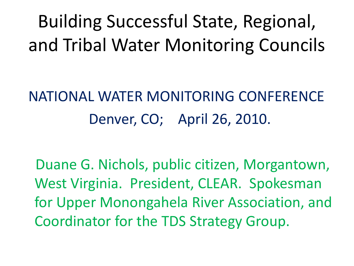Building Successful State, Regional, and Tribal Water Monitoring Councils

#### NATIONAL WATER MONITORING CONFERENCE Denver, CO; April 26, 2010.

Duane G. Nichols, public citizen, Morgantown, West Virginia. President, CLEAR. Spokesman for Upper Monongahela River Association, and Coordinator for the TDS Strategy Group.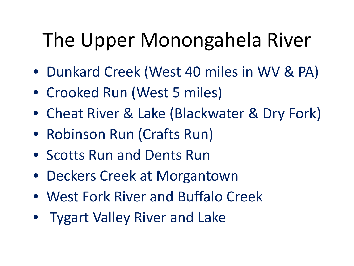# The Upper Monongahela River

- Dunkard Creek (West 40 miles in WV & PA)
- Crooked Run (West 5 miles)
- Cheat River & Lake (Blackwater & Dry Fork)
- Robinson Run (Crafts Run)
- Scotts Run and Dents Run
- Deckers Creek at Morgantown
- West Fork River and Buffalo Creek
- Tygart Valley River and Lake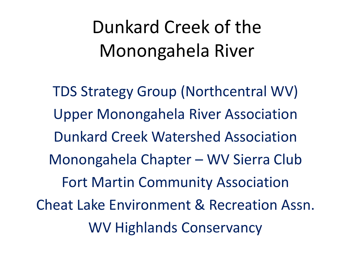Dunkard Creek of the Monongahela River

TDS Strategy Group (Northcentral WV) Upper Monongahela River Association Dunkard Creek Watershed Association Monongahela Chapter – WV Sierra Club Fort Martin Community Association Cheat Lake Environment & Recreation Assn. WV Highlands Conservancy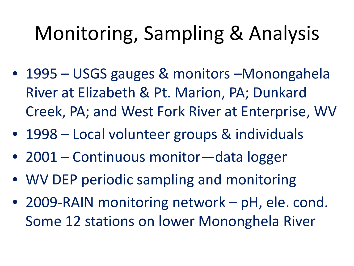# Monitoring, Sampling & Analysis

- 1995 USGS gauges & monitors –Monongahela River at Elizabeth & Pt. Marion, PA; Dunkard Creek, PA; and West Fork River at Enterprise, WV
- 1998 Local volunteer groups & individuals
- 2001 Continuous monitor—data logger
- WV DEP periodic sampling and monitoring
- 2009-RAIN monitoring network pH, ele. cond. Some 12 stations on lower Mononghela River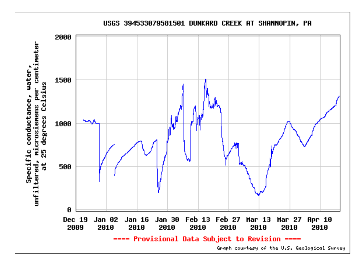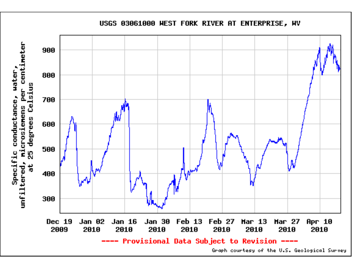centimeter 900 uater, 800 lsiu per conductance, 700 <u>ہے</u><br>ت crosienens degrees 600 500 Ź Specific<br>unfiltered, mi  $\mathbf{\bar{p}}$ 肯 400 300 **Dec** 19 **Jan 02 Jan 16 Jan 30 Feb 13 Feb 27 Mar 13 Mar 27** Apr 10 2009 2010 2010 2010 2010 2010 2010 2010 2010 Provisional Data Subject to Revision ----Graph courtesy of the U.S. Geological Survey

USGS 03061000 WEST FORK RIVER AT ENTERPRISE, HV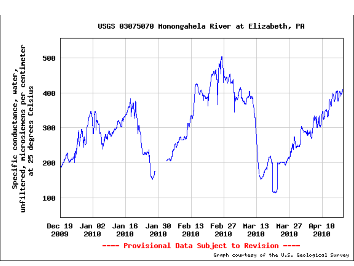

USGS 03075070 Monongahela River at Elizabeth, PA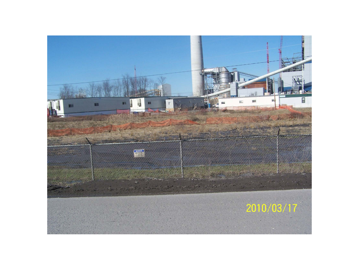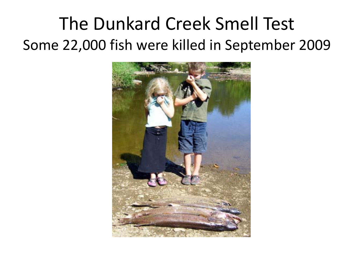#### The Dunkard Creek Smell Test Some 22,000 fish were killed in September 2009

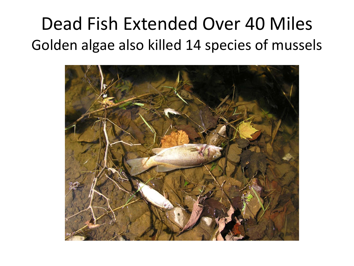#### Dead Fish Extended Over 40 Miles Golden algae also killed 14 species of mussels

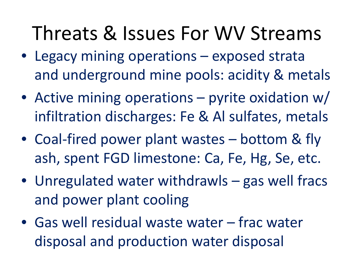### Threats & Issues For WV Streams

- Legacy mining operations exposed strata and underground mine pools: acidity & metals
- Active mining operations pyrite oxidation w/ infiltration discharges: Fe & Al sulfates, metals
- Coal-fired power plant wastes bottom & fly ash, spent FGD limestone: Ca, Fe, Hg, Se, etc.
- Unregulated water withdrawls gas well fracs and power plant cooling
- Gas well residual waste water frac water disposal and production water disposal